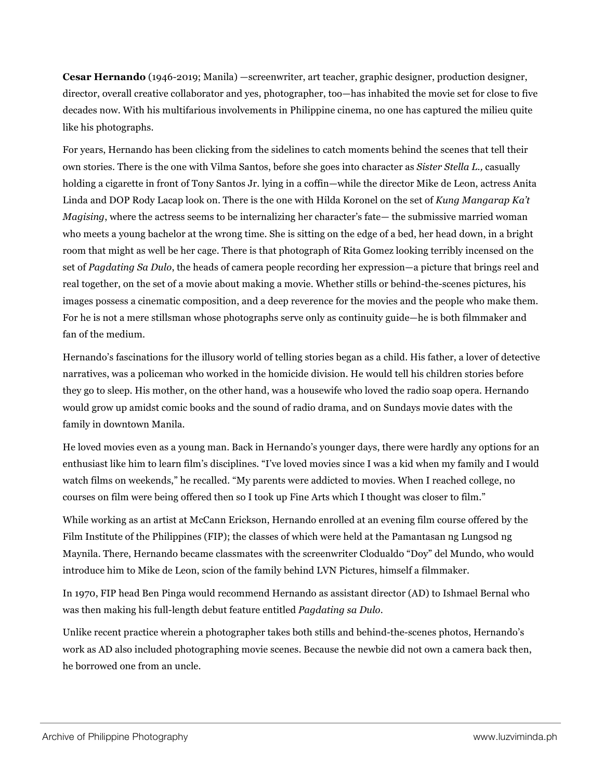**Cesar Hernando** (1946-2019; Manila) —screenwriter, art teacher, graphic designer, production designer, director, overall creative collaborator and yes, photographer, too—has inhabited the movie set for close to five decades now. With his multifarious involvements in Philippine cinema, no one has captured the milieu quite like his photographs.

For years, Hernando has been clicking from the sidelines to catch moments behind the scenes that tell their own stories. There is the one with Vilma Santos, before she goes into character as *Sister Stella L.,* casually holding a cigarette in front of Tony Santos Jr. lying in a coffin—while the director Mike de Leon, actress Anita Linda and DOP Rody Lacap look on. There is the one with Hilda Koronel on the set of *Kung Mangarap Ka't Magising*, where the actress seems to be internalizing her character's fate— the submissive married woman who meets a young bachelor at the wrong time. She is sitting on the edge of a bed, her head down, in a bright room that might as well be her cage. There is that photograph of Rita Gomez looking terribly incensed on the set of *Pagdating Sa Dulo*, the heads of camera people recording her expression—a picture that brings reel and real together, on the set of a movie about making a movie. Whether stills or behind-the-scenes pictures, his images possess a cinematic composition, and a deep reverence for the movies and the people who make them. For he is not a mere stillsman whose photographs serve only as continuity guide—he is both filmmaker and fan of the medium.

Hernando's fascinations for the illusory world of telling stories began as a child. His father, a lover of detective narratives, was a policeman who worked in the homicide division. He would tell his children stories before they go to sleep. His mother, on the other hand, was a housewife who loved the radio soap opera. Hernando would grow up amidst comic books and the sound of radio drama, and on Sundays movie dates with the family in downtown Manila.

He loved movies even as a young man. Back in Hernando's younger days, there were hardly any options for an enthusiast like him to learn film's disciplines. "I've loved movies since I was a kid when my family and I would watch films on weekends," he recalled. "My parents were addicted to movies. When I reached college, no courses on film were being offered then so I took up Fine Arts which I thought was closer to film."

While working as an artist at McCann Erickson, Hernando enrolled at an evening film course offered by the Film Institute of the Philippines (FIP); the classes of which were held at the Pamantasan ng Lungsod ng Maynila. There, Hernando became classmates with the screenwriter Clodualdo "Doy" del Mundo, who would introduce him to Mike de Leon, scion of the family behind LVN Pictures, himself a filmmaker.

In 1970, FIP head Ben Pinga would recommend Hernando as assistant director (AD) to Ishmael Bernal who was then making his full-length debut feature entitled *Pagdating sa Dulo*.

Unlike recent practice wherein a photographer takes both stills and behind-the-scenes photos, Hernando's work as AD also included photographing movie scenes. Because the newbie did not own a camera back then, he borrowed one from an uncle.